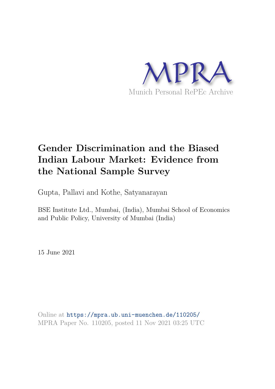

# **Gender Discrimination and the Biased Indian Labour Market: Evidence from the National Sample Survey**

Gupta, Pallavi and Kothe, Satyanarayan

BSE Institute Ltd., Mumbai, (India), Mumbai School of Economics and Public Policy, University of Mumbai (India)

15 June 2021

Online at https://mpra.ub.uni-muenchen.de/110205/ MPRA Paper No. 110205, posted 11 Nov 2021 03:25 UTC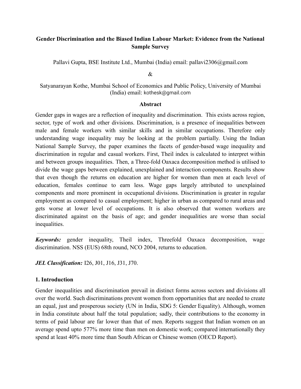# **Gender Discrimination and the Biased Indian Labour Market: Evidence from the National Sample Survey**

Pallavi Gupta, BSE Institute Ltd., Mumbai (India) email: pallavi2306@gmail.com

 $\mathcal{R}_{\mathcal{L}}$ 

Satyanarayan Kothe, Mumbai School of Economics and Public Policy, University of Mumbai (India) email: kothesk@gmail.com

#### **Abstract**

Gender gaps in wages are a reflection of inequality and discrimination. This exists across region, sector, type of work and other divisions. Discrimination, is a presence of inequalities between male and female workers with similar skills and in similar occupations. Therefore only understanding wage inequality may be looking at the problem partially. Using the Indian National Sample Survey, the paper examines the facets of gender-based wage inequality and discrimination in regular and casual workers. First, Theil index is calculated to interpret within and between groups inequalities. Then, a Three-fold Oaxaca decomposition method is utilised to divide the wage gaps between explained, unexplained and interaction components. Results show that even though the returns on education are higher for women than men at each level of education, females continue to earn less. Wage gaps largely attributed to unexplained components and more prominent in occupational divisions. Discrimination is greater in regular employment as compared to casual employment; higher in urban as compared to rural areas and gets worse at lower level of occupations. It is also observed that women workers are discriminated against on the basis of age; and gender inequalities are worse than social inequalities.

*Keywords:* gender inequality, Theil index, Threefold Oaxaca decomposition, wage discrimination. NSS (EUS) 68th round, NCO 2004, returns to education.

*JEL Classification:* I26, J01, J16, J31, J70.

## **1. Introduction**

Gender inequalities and discrimination prevail in distinct forms across sectors and divisions all over the world. Such discriminations prevent women from opportunities that are needed to create an equal, just and prosperous society (UN in India, SDG 5: Gender Equality). Although, women in India constitute about half the total population; sadly, their contributions to the economy in terms of paid labour are far lower than that of men. Reports suggest that Indian women on an average spend upto 577% more time than men on domestic work; compared internationally they spend at least 40% more time than South African or Chinese women (OECD Report).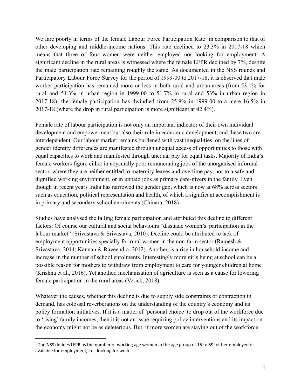We fare poorly in terms of the female Labour Force Participation Rate<sup>1</sup> in comparison to that of other developing and middle-income nations. This rate declined to 23.3% in 2017-18 which means that three of four women were neither employed nor looking for employment. A significant decline in the rural areas is witnessed where the female LFPR declined by 7%, despite the male participation rate remaining roughly the same. As documented in the NSS rounds and Participatory Labour Force Survey for the period of 1999-00 to 2017-18, it is observed that male worker participation has remained more or less in both rural and urban areas (from 53.1% for rural and 51.3% in urban region in 1999-00 to 51.7% in rural and 53% in urban region in 2017-18); the female participation has dwindled from 25.9% in 1999-00 to a mere 16.5% in 2017-18 (where the drop in rural participation is more significant at 42.4%).

Female rate of labour participation is not only an important indicator of their own individual development and empowerment but also their role in economic development, and these two are interdependent. Our labour market remains burdened with vast inequalities, on the lines of gender identity differences are manifested through unequal access of opportunities to those with equal capacities to work and manifested through unequal pay for equal tasks. Majority of India's female workers figure either in abysmally poor remunerating jobs of the unorganised informal sector, where they are neither entitled to maternity leaves and overtime pay, nor to a safe and dignified working environment, or in unpaid jobs as primary care-givers in the family. Even though in recent years India has narrowed the gender gap, which is now at 68% across sectors such as education, political representation and health, of which a significant accomplishment is in primary and secondary school enrolments (Chinara, 2018).

Studies have analysed the falling female participation and attributed this decline to different factors: Of course our cultural and social behaviours "dissuade women's participation in the labour market" (Srivastava & Srivastava, 2010). Decline could be attributed to lack of employment opportunities specially for rural women in the non-farm sector (Ramesh  $\&$ Srivastava, 2014; Kannan & Raveendra, 2012). Another, is a rise in household income and increase in the number of school enrolments. Interestingly more girls being at school can be a possible reason for mothers to withdraw from employment to care for younger children at home (Krishna et al., 2016). Yet another, mechanisation of agriculture is seen as a cause for lowering female participation in the rural areas (Verick, 2018).

Whatever the causes, whether this decline is due to supply side constraints or contraction in demand, has colossal reverberations on the understanding of the country's economy and its policy formation initiatives. If it is a matter of 'personal choice' to drop out of the workforce due to 'rising' family incomes, then it is not an issue requiring policy interventions and its impact on the economy might not be as deleterious. But, if more women are staying out of the workforce

 $1$  The NSS defines LFPR as the number of working age women in the age group of 15 to 59, either employed or available for employment, i.e., looking for work.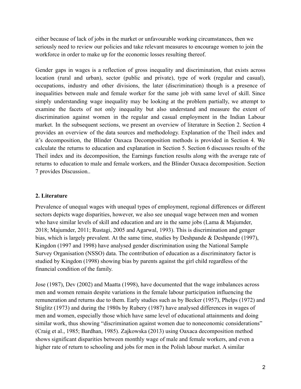either because of lack of jobs in the market or unfavourable working circumstances, then we seriously need to review our policies and take relevant measures to encourage women to join the workforce in order to make up for the economic losses resulting thereof.

Gender gaps in wages is a reflection of gross inequality and discrimination, that exists across location (rural and urban), sector (public and private), type of work (regular and casual), occupations, industry and other divisions, the later (discrimination) though is a presence of inequalities between male and female worker for the same job with same level of skill. Since simply understanding wage inequality may be looking at the problem partially, we attempt to examine the facets of not only inequality but also understand and measure the extent of discrimination against women in the regular and casual employment in the Indian Labour market. In the subsequent sections, we present an overview of literature in Section 2. Section 4 provides an overview of the data sources and methodology. Explanation of the Theil index and it's decomposition, the Blinder Oaxaca Decomposition methods is provided in Section 4. We calculate the returns to education and explanation in Section 5. Section 6 discusses results of the Theil index and its decomposition, the Earnings function results along with the average rate of returns to education to male and female workers, and the Blinder Oaxaca decomposition. Section 7 provides Discussion..

# **2. Literature**

Prevalence of unequal wages with unequal types of employment, regional differences or different sectors depicts wage disparities, however, we also see unequal wage between men and women who have similar levels of skill and education and are in the same jobs (Lama & Majumder, 2018; Majumder, 2011; Rustagi, 2005 and Agarwal, 1993). This is discrimination and genger bias, which is largely prevalent. At the same time, studies by Deshpande & Deshpande (1997), Kingdon (1997 and 1998) have analysed gender discrimination using the National Sample Survey Organisation (NSSO) data. The contribution of education as a discriminatory factor is studied by Kingdon (1998) showing bias by parents against the girl child regardless of the financial condition of the family.

Jose (1987), Dev (2002) and Maatta (1998), have documented that the wage imbalances across men and women remain despite variations in the female labour participation influencing the remuneration and returns due to them. Early studies such as by Becker (1957), Phelps (1972) and Stiglitz (1973) and during the 1980s by Rubery (1987) have analysed differences in wages of men and women, especially those which have same level of educational attainments and doing similar work, thus showing "discrimination against women due to noneconomic considerations" (Craig et al., 1985; Bardhan, 1985). Zajkowska (2013) using Oaxaca decomposition method shows significant disparities between monthly wage of male and female workers, and even a higher rate of return to schooling and jobs for men in the Polish labour market. A similar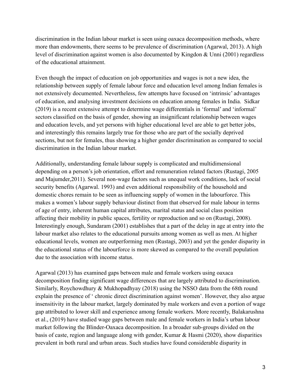discrimination in the Indian labour market is seen using oaxaca decomposition methods, where more than endowments, there seems to be prevalence of discrimination (Agarwal, 2013). A high level of discrimination against women is also documented by Kingdon & Unni (2001) regardless of the educational attainment.

Even though the impact of education on job opportunities and wages is not a new idea, the relationship between supply of female labour force and education level among Indian females is not extensively documented. Nevertheless, few attempts have focused on 'intrinsic' advantages of education, and analysing investment decisions on education among females in India. Sidkar (2019) is a recent extensive attempt to determine wage differentials in 'formal' and 'informal' sectors classified on the basis of gender, showing an insignificant relationship between wages and education levels, and yet persons with higher educational level are able to get better jobs, and interestingly this remains largely true for those who are part of the socially deprived sections, but not for females, thus showing a higher gender discrimination as compared to social discrimination in the Indian labour market.

Additionally, understanding female labour supply is complicated and multidimensional depending on a person's job orientation, effort and remuneration related factors (Rustagi, 2005 and Majumder,2011). Several non-wage factors such as unequal work conditions, lack of social security benefits (Agarwal. 1993) and even additional responsibility of the household and domestic chores remain to be seen as influencing supply of women in the labourforce. This makes a women's labour supply behaviour distinct from that observed for male labour in terms of age of entry, inherent human capital attributes, marital status and social class position affecting their mobility in public spaces, fertility or reproduction and so on (Rustagi, 2008). Interestingly enough, Sundaram (2001) establishes that a part of the delay in age at entry into the labour market also relates to the educational pursuits among women as well as men. At higher educational levels, women are outperforming men (Rustagi, 2003) and yet the gender disparity in the educational status of the labourforce is more skewed as compared to the overall population due to the association with income status.

Agarwal (2013) has examined gaps between male and female workers using oaxaca decomposition finding significant wage differences that are largely attributed to discrimination. Similarly, Roychowdhury & Mukhopadhyay (2018) using the NSSO data from the 68th round explain the presence of ' chronic direct discrimination against women'. However, they also argue insensitivity in the labour market, largely dominated by male workers and even a portion of wage gap attributed to lower skill and experience among female workers. More recently, Balakarushna et al., (2019) have studied wage gaps between male and female workers in India's urban labour market following the Blinder-Oaxaca decomposition. In a broader sub-groups divided on the basis of caste, region and language along with gender, Kumar & Hasmi (2020), show disparities prevalent in both rural and urban areas. Such studies have found considerable disparity in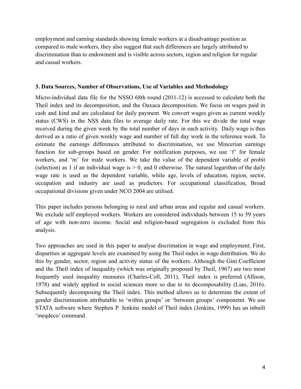employment and earning standards showing female workers at a disadvantage position as compared to male workers, they also suggest that such differences are largely attributed to discrimination than to endowment and is visible across sectors, region and religion for regular and casual workers.

## **3. Data Sources, Number of Observations, Use of Variables and Methodology**

Micro-individual data file for the NSSO 68th round (2011-12) is accessed to calculate both the Theil index and its decomposition, and the Oaxaca decomposition. We focus on wages paid in cash and kind and are calculated for daily payment. We convert wages given as current weekly status (CWS) in the NSS data files to average daily rate. For this we divide the total wage received during the given week by the total number of days in each activity. Daily wage is thus derived as a ratio of given weekly wage and number of full day work in the reference week. To estimate the earnings differences attributed to discrimination, we use Mincerian earnings function for sub-groups based on gender. For notification purposes, we use 'f' for female workers, and 'm' for male workers. We take the value of the dependent variable of probit (selection) as 1 if an individual wage is  $> 0$ , and 0 otherwise. The natural logarithm of the daily wage rate is used as the dependent variable, while age, levels of education, region, sector, occupation and industry are used as predictors. For occupational classification, Broad occupational divisions given under NCO 2004 are utilised.

This paper includes persons belonging to rural and urban areas and regular and casual workers. We exclude self employed workers. Workers are considered individuals between 15 to 59 years of age with non-zero income. Social and religion-based segregation is excluded from this analysis.

Two approaches are used in this paper to analyse discrimation in wage and employment. First, disparities at aggregate levels are examined by using the Theil index in wage distribution. We do this by gender, sector, region and activity status of the workers. Although the Gini Coefficient and the Theil index of inequality (which was originally proposed by Theil, 1967) are two most frequently used inequality measures (Charles-Coll, 2011), Theil index is preferred (Allison, 1978) and widely applied in social sciences more so due to its decomposability (Liao, 2016). Subsequently decomposing the Theil index. This method allows us to determine the extent of gender discrimination attributable to 'within groups' or 'between groups' componetnt. We use STATA software where Stephen P. Jenkins model of Theil index (Jenkins, 1999) has an inbuilt 'ineqdeco' command.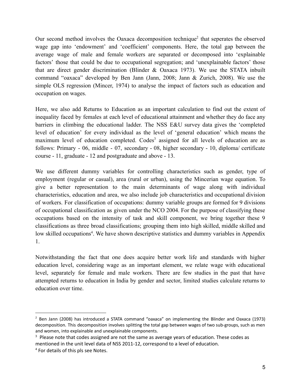Our second method involves the Oaxaca decomposition technique<sup>2</sup> that seperates the observed wage gap into 'endowment' and 'coefficient' components. Here, the total gap between the average wage of male and female workers are separated or decomposed into 'explainable factors' those that could be due to occupational segregation; and 'unexplainable factors' those that are direct gender discrimination (Blinder & Oaxaca 1973). We use the STATA inbuilt command "oaxaca" developed by Ben Jann (Jann, 2008; Jann & Zurich, 2008). We use the simple OLS regression (Mincer, 1974) to analyse the impact of factors such as education and occupation on wages.

Here, we also add Returns to Education as an important calculation to find out the extent of inequality faced by females at each level of educational attainment and whether they do face any barriers in climbing the educational ladder. The NSS E&U survey data gives the 'completed level of education' for every individual as the level of 'general education' which means the maximum level of education completed. Codes<sup>3</sup> assigned for all levels of education are as follows: Primary - 06, middle - 07, secondary - 08, higher secondary - 10, diploma/ certificate course - 11, graduate - 12 and postgraduate and above - 13.

We use different dummy variables for controlling characteristics such as gender, type of employment (regular or casual), area (rural or urban), using the Mincerian wage equation. To give a better representation to the main determinants of wage along with individual characteristics, education and area, we also include job characteristics and occupational division of workers. For classification of occupations: dummy variable groups are formed for 9 divisions of occupational classification as given under the NCO 2004. For the purpose of classifying these occupations based on the intensity of task and skill component, we bring together these 9 classifications as three broad classifications; grouping them into high skilled, middle skilled and low skilled occupations<sup>4</sup>. We have shown descriptive statistics and dummy variables in Appendix 1.

Notwithstanding the fact that one does acquire better work life and standards with higher education level, considering wage as an important element, we relate wage with educational level, separately for female and male workers. There are few studies in the past that have attempted returns to education in India by gender and sector, limited studies calculate returns to education over time.

<sup>&</sup>lt;sup>2</sup> Ben Jann (2008) has introduced a STATA command "oaxaca" on implementing the Blinder and Oaxaca (1973) decomposition. This decomposition involves splitting the total gap between wages of two sub-groups, such as men and women, into explainable and unexplainable components.

<sup>&</sup>lt;sup>3</sup> Please note that codes assigned are not the same as average years of education. These codes as mentioned in the unit level data of NSS 2011-12, correspond to a level of education.

<sup>&</sup>lt;sup>4</sup> For details of this pls see Notes.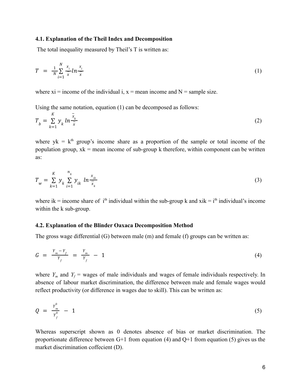#### **4.1. Explanation of the Theil Index and Decomposition**

The total inequality measured by Theil's T is written as:

$$
T = \frac{1}{N} \sum_{i=1}^{N} \frac{x_i}{\overline{x}} ln \frac{x_i}{\overline{x}}
$$
 (1)

where  $xi = income of the individual i, x = mean income and N = sample size.$ 

Using the same notation, equation (1) can be decomposed as follows:

$$
T_b = \sum_{k=1}^{K} y_k \ln \frac{\bar{x}_k}{\bar{x}}
$$
 (2)

where  $yk = k<sup>th</sup>$  group's income share as a proportion of the sample or total income of the population group,  $x_k$  = mean income of sub-group k therefore, within component can be written as:

$$
T_w = \sum_{k=1}^{K} y_k \sum_{i=1}^{n_k} y_{ik} \ln \frac{x_{ik}}{\bar{x}_k}
$$
 (3)

where ik = income share of i<sup>th</sup> individual within the sub-group k and xik = i<sup>th</sup> individual's income within the k sub-group.

#### **4.2. Explanation of the Blinder Oaxaca Decomposition Method**

The gross wage differential (G) between male (m) and female (f) groups can be written as:

$$
G = \frac{Y_m - Y_f}{Y_f} = \frac{Y_m}{Y_f} - 1 \tag{4}
$$

where  $Y_m$  and  $Y_f$  = wages of male individuals and wages of female individuals respectively. In absence of labour market discrimination, the difference between male and female wages would reflect productivity (or difference in wages due to skill). This can be written as:

$$
Q = \frac{Y_m^0}{Y_f^0} - 1 \tag{5}
$$

Whereas superscript shown as 0 denotes absence of bias or market discrimination. The proportionate difference between  $G+1$  from equation (4) and  $Q+1$  from equation (5) gives us the market discrimination coffecient (D).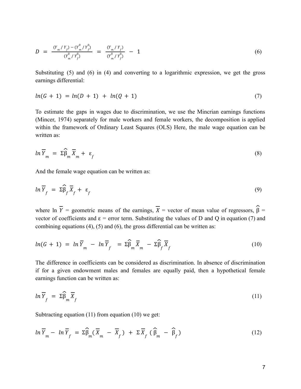$$
D = \frac{(Y_m/Y_f) - (Y_m^0/Y_f^0)}{(Y_m^0/Y_f^0)} = \frac{(Y_m/Y_f)}{(Y_m^0/Y_f^0)} - 1
$$
\n(6)

Substituting (5) and (6) in (4) and converting to a logarithmic expression, we get the gross earnings differential:

$$
ln(G + 1) = ln(D + 1) + ln(Q + 1)
$$
\n(7)

To estimate the gaps in wages due to discrimination, we use the Mincrian earnings functions (Mincer, 1974) separately for male workers and female workers, the decomposition is applied within the framework of Ordinary Least Squares (OLS) Here, the male wage equation can be written as:

$$
ln \overline{Y}_m = \Sigma \widehat{\beta}_m \overline{X}_m + \varepsilon_f \tag{8}
$$

And the female wage equation can be written as:

$$
\ln \overline{Y}_f = \Sigma \widehat{\beta}_f \overline{X}_f + \varepsilon_f \tag{9}
$$

where ln  $\overline{Y}$  = geometric means of the earnings,  $\overline{X}$  = vector of mean value of regressors,  $\hat{\beta}$  = vector of coefficients and  $\varepsilon$  = error term. Substituting the values of D and Q in equation (7) and combining equations (4), (5) and (6), the gross differential can be written as:

$$
ln(G + 1) = ln \overline{Y}_m - ln \overline{Y}_f = \Sigma \widehat{\beta}_m \overline{X}_m - \Sigma \widehat{\beta}_f \overline{X}_f
$$
 (10)

The difference in coefficients can be considered as discrimination. In absence of discrimination if for a given endowment males and females are equally paid, then a hypothetical female earnings function can be written as:

$$
\ln \overline{Y}_f = \Sigma \widehat{\beta}_m \overline{X}_f \tag{11}
$$

Subtracting equation (11) from equation (10) we get:

$$
\ln \overline{Y}_m - \ln \overline{Y}_f = \Sigma \widehat{\beta}_m (\overline{X}_m - \overline{X}_f) + \Sigma \overline{X}_f (\widehat{\beta}_m - \widehat{\beta}_f)
$$
(12)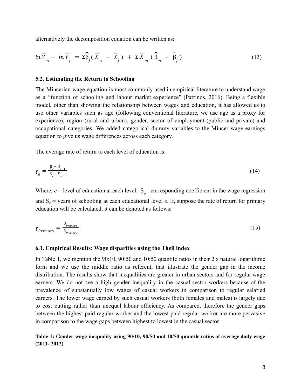alternatively the decomposition equation can be written as:

$$
\ln \overline{Y}_m - \ln \overline{Y}_f = \Sigma \widehat{\beta}_f (\overline{X}_m - \overline{X}_f) + \Sigma \overline{X}_m (\widehat{\beta}_m - \widehat{\beta}_f)
$$
 (13)

#### **5.2. Estimating the Return to Schooling**

The Mincerian wage equation is most commonly used in empirical literature to understand wage as a "function of schooling and labour market experience" (Patrinos, 2016). Being a flexible model, other than showing the relationship between wages and education, it has allowed us to use other variables such as age (following conventional literature, we use age as a proxy for experience), region (rural and urban), gender, sector of employment (public and private) and occupational categories. We added categorical dummy variables to the Mincer wage earnings equation to give us wage differences across each category.

The average rate of return to each level of education is:

$$
\gamma_e = \frac{\beta_e - \beta_{e-1}}{S_e - S_{e-1}}\tag{14}
$$

Where,  $e =$  level of education at each level.  $\beta_e$  = corresponding coefficient in the wage regression and  $S_e$  = years of schooling at each educational level *e*. If, suppose the rate of return for primary education will be calculated, it can be denoted as follows:

$$
\gamma_{Primary} = \frac{\beta_{Primary}}{S_{Primary}} \tag{15}
$$

#### **6.1. Empirical Results: Wage disparities using the Theil index**

In Table 1, we mention the 90:10, 90:50 and 10:50 quantile ratios in their 2 x natural logarithmic form and we use the middle ratio as referent, that illustrate the gender gap in the income distribution. The results show that inequalities are greater in urban sectors and for regular wage earners. We do not see a high gender inequality in the casual sector workers because of the prevalence of substantially low wages of casual workers in comparison to regular salaried earners. The lower wage earned by such casual workers (both females and males) is largely due to cost cutting rather than unequal labour efficiency. As compared, therefore the gender gaps between the highest paid regular worker and the lowest paid regular worker are more pervasive in comparison to the wage gaps between highest to lowest in the casual sector.

**Table 1: Gender wage inequality using 90/10, 90/50 and 10/50 quantile ratios of average daily wage (2011- 2012)**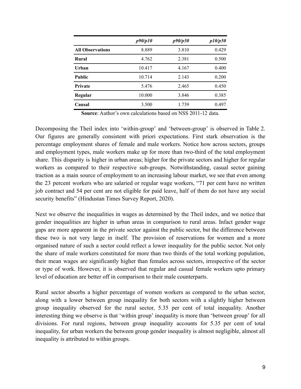|                         | p90/p10 | p90/p50 | p10/p50 |
|-------------------------|---------|---------|---------|
| <b>All Observations</b> | 8.889   | 3.810   | 0.429   |
| Rural                   | 4.762   | 2.381   | 0.500   |
| Urban                   | 10.417  | 4.167   | 0.400   |
| <b>Public</b>           | 10.714  | 2.143   | 0.200   |
| <b>Private</b>          | 5.476   | 2.465   | 0.450   |
| Regular                 | 10.000  | 3.846   | 0.385   |
| Causal                  | 3.500   | 1.739   | 0.497   |

**Source**: Author's own calculations based on NSS 2011-12 data.

Decomposing the Theil index into 'within-group' and 'between-group' is observed in Table 2. Our figures are generally consistent with priori expectations. First stark observation is the percentage employment shares of female and male workers. Notice how across sectors, groups and employment types, male workers make up for more than two-third of the total employment share. This disparity is higher in urban areas; higher for the private sectors and higher for regular workers as compared to their respective sub-groups. Notwithstanding, casual sector gaining traction as a main source of employment to an increasing labour market, we see that even among the 23 percent workers who are salaried or regular wage workers, "71 per cent have no written job contract and 54 per cent are not eligible for paid leave, half of them do not have any social security benefits" (Hindustan Times Survey Report, 2020).

Next we observe the inequalities in wages as determined by the Theil index, and we notice that gender inequalities are higher in urban areas in comparison to rural areas. Infact gender wage gaps are more apparent in the private sector against the public sector, but the difference between these two is not very large in itself. The provision of reservations for women and a more organised nature of such a sector could reflect a lower inequality for the public sector. Not only the share of male workers constituted for more than two thirds of the total working population, their mean wages are significantly higher than females across sectors, irrespective of the sector or type of work. However, it is observed that regular and casual female workers upto primary level of education are better off in comparison to their male counterparts.

Rural sector absorbs a higher percentage of women workers as compared to the urban sector, along with a lower between group inequality for both sectors with a slightly higher between group inequality observed for the rural sector, 5.35 per cent of total inequality. Another interesting thing we observe is that 'within group' inequality is more than 'between group' for all divisions. For rural regions, between group inequality accounts for 5.35 per cent of total inequality, for urban workers the between group gender inequality is almost negligible, almost all inequality is attributed to within groups.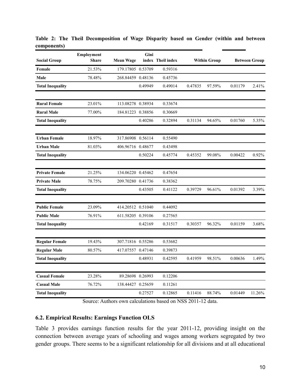|                         | <b>Employment</b> |                   | Gini    |                   |         |                     |         |                      |
|-------------------------|-------------------|-------------------|---------|-------------------|---------|---------------------|---------|----------------------|
| <b>Social Group</b>     | <b>Share</b>      | Mean Wage         |         | index Theil index |         | <b>Within Group</b> |         | <b>Between Group</b> |
| Female                  | 21.53%            | 179.17805 0.53709 |         | 0.59316           |         |                     |         |                      |
| Male                    | 78.48%            | 268.84459 0.48136 |         | 0.45736           |         |                     |         |                      |
| <b>Total Inequality</b> |                   |                   | 0.49949 | 0.49014           | 0.47835 | 97.59%              | 0.01179 | 2.41%                |
| <b>Rural Female</b>     | 23.01%            | 113.08278 0.38934 |         | 0.33674           |         |                     |         |                      |
| <b>Rural Male</b>       | 77.00%            | 184.81223 0.38856 |         | 0.30669           |         |                     |         |                      |
| <b>Total Inequality</b> |                   |                   | 0.40286 | 0.32894           | 0.31134 | 94.65%              | 0.01760 | 5.35%                |
| <b>Urban Female</b>     | 18.97%            | 317.86908 0.56114 |         | 0.55490           |         |                     |         |                      |
| <b>Urban Male</b>       | 81.03%            | 406.96716 0.48677 |         | 0.43498           |         |                     |         |                      |
| <b>Total Inequality</b> |                   |                   | 0.50224 | 0.45774           | 0.45352 | 99.08%              | 0.00422 | 0.92%                |
| <b>Private Female</b>   | 21.25%            | 134.06220 0.45462 |         | 0.47654           |         |                     |         |                      |
| <b>Private Male</b>     | 78.75%            | 209.70280 0.41736 |         | 0.38362           |         |                     |         |                      |
| <b>Total Inequality</b> |                   |                   | 0.43505 | 0.41122           | 0.39729 | 96.61%              | 0.01392 | 3.39%                |
| <b>Public Female</b>    | 23.09%            | 414.20512 0.51040 |         | 0.44092           |         |                     |         |                      |
| <b>Public Male</b>      | 76.91%            | 611.58205 0.39106 |         | 0.27565           |         |                     |         |                      |
| <b>Total Inequality</b> |                   |                   | 0.42169 | 0.31517           | 0.30357 | 96.32%              | 0.01159 | 3.68%                |
| <b>Regular Female</b>   | 19.43%            | 307.71816 0.55286 |         | 0.53682           |         |                     |         |                      |
| <b>Regular Male</b>     | 80.57%            | 417.07557 0.47146 |         | 0.39873           |         |                     |         |                      |
| <b>Total Inequality</b> |                   |                   | 0.48931 | 0.42595           | 0.41959 | 98.51%              | 0.00636 | 1.49%                |
| <b>Casual Female</b>    | 23.28%            | 89.28698 0.26993  |         | 0.12206           |         |                     |         |                      |
| <b>Casual Male</b>      | 76.72%            | 138.44427 0.25659 |         | 0.11261           |         |                     |         |                      |
| <b>Total Inequality</b> |                   |                   | 0.27527 | 0.12865           | 0.11416 | 88.74%              | 0.01449 | 11.26%               |

**Table 2: The Theil Decomposition of Wage Disparity based on Gender (within and between components)**

Source: Authors own calculations based on NSS 2011-12 data.

# **6.2. Empirical Results: Earnings Function OLS**

Table 3 provides earnings function results for the year 2011-12, providing insight on the connection between average years of schooling and wages among workers segregated by two gender groups. There seems to be a significant relationship for all divisions and at all educational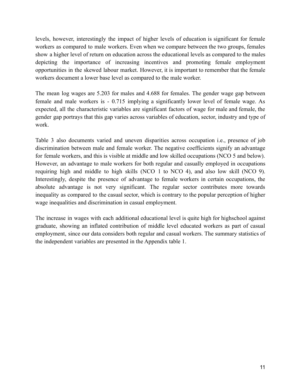levels, however, interestingly the impact of higher levels of education is significant for female workers as compared to male workers. Even when we compare between the two groups, females show a higher level of return on education across the educational levels as compared to the males depicting the importance of increasing incentives and promoting female employment opportunities in the skewed labour market. However, it is important to remember that the female workers document a lower base level as compared to the male worker.

The mean log wages are 5.203 for males and 4.688 for females. The gender wage gap between female and male workers is - 0.715 implying a significantly lower level of female wage. As expected, all the characteristic variables are significant factors of wage for male and female, the gender gap portrays that this gap varies across variables of education, sector, industry and type of work.

Table 3 also documents varied and uneven disparities across occupation i.e., presence of job discrimination between male and female worker. The negative coefficients signify an advantage for female workers, and this is visible at middle and low skilled occupations (NCO 5 and below). However, an advantage to male workers for both regular and casually employed in occupations requiring high and middle to high skills (NCO 1 to NCO 4), and also low skill (NCO 9). Interestingly, despite the presence of advantage to female workers in certain occupations, the absolute advantage is not very significant. The regular sector contributes more towards inequality as compared to the casual sector, which is contrary to the popular perception of higher wage inequalities and discrimination in casual employment.

The increase in wages with each additional educational level is quite high for highschool against graduate, showing an inflated contribution of middle level educated workers as part of casual employment, since our data considers both regular and casual workers. The summary statistics of the independent variables are presented in the Appendix table 1.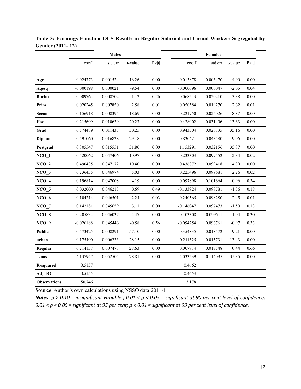|                     |             | <b>Males</b> |         |          |             | <b>Females</b> |         |          |
|---------------------|-------------|--------------|---------|----------|-------------|----------------|---------|----------|
|                     | coeff       | std err      | t-value | P >  t   | coeff       | std err        | t-value | P >  t   |
|                     |             |              |         |          |             |                |         |          |
| Age                 | 0.024773    | 0.001524     | 16.26   | 0.00     | 0.013878    | 0.003470       | 4.00    | 0.00     |
| Agesq               | $-0.000198$ | 0.000021     | $-9.54$ | $0.00\,$ | $-0.000096$ | 0.000047       | $-2.05$ | 0.04     |
| <b>Bprim</b>        | $-0.009764$ | 0.008702     | $-1.12$ | 0.26     | 0.068213    | 0.020210       | 3.38    | 0.00     |
| Prim                | 0.020245    | 0.007850     | 2.58    | 0.01     | 0.050584    | 0.019270       | 2.62    | 0.01     |
| <b>Secon</b>        | 0.156918    | 0.008394     | 18.69   | 0.00     | 0.221950    | 0.025026       | 8.87    | 0.00     |
| Hsc                 | 0.215699    | 0.010639     | 20.27   | $0.00\,$ | 0.428002    | 0.031406       | 13.63   | $0.00\,$ |
| Grad                | 0.574489    | 0.011433     | 50.25   | 0.00     | 0.943504    | 0.026835       | 35.16   | 0.00     |
| Diploma             | 0.491060    | 0.016828     | 29.18   | 0.00     | 0.830421    | 0.043580       | 19.06   | 0.00     |
| Postgrad            | 0.805547    | 0.015551     | 51.80   | 0.00     | 1.153291    | 0.032156       | 35.87   | 0.00     |
| $NCO_1$             | 0.520062    | 0.047406     | 10.97   | $0.00\,$ | 0.233303    | 0.099552       | 2.34    | 0.02     |
| $NCO_2$             | 0.490435    | 0.047172     | 10.40   | 0.00     | 0.436872    | 0.099418       | 4.39    | 0.00     |
| $NCO_3$             | 0.236435    | 0.046974     | 5.03    | 0.00     | 0.225496    | 0.099681       | 2.26    | 0.02     |
| $NCO_4$             | 0.196814    | 0.047008     | 4.19    | 0.00     | 0.097898    | 0.101664       | 0.96    | 0.34     |
| $NCO_5$             | 0.032000    | 0.046213     | 0.69    | 0.49     | $-0.133924$ | 0.098781       | $-1.36$ | 0.18     |
| $NCO_6$             | $-0.104214$ | 0.046501     | $-2.24$ | 0.03     | $-0.240565$ | 0.098280       | $-2.45$ | 0.01     |
| $NCO_7$             | 0.142181    | 0.045659     | 3.11    | 0.00     | $-0.146047$ | 0.097473       | $-1.50$ | 0.13     |
| $NCO_8$             | 0.205834    | 0.046037     | 4.47    | 0.00     | $-0.103308$ | 0.099511       | $-1.04$ | 0.30     |
| $NCO_9$             | $-0.026188$ | 0.045446     | $-0.58$ | 0.56     | $-0.094254$ | 0.096761       | $-0.97$ | 0.33     |
| Public              | 0.473425    | 0.008291     | 57.10   | 0.00     | 0.354835    | 0.018472       | 19.21   | 0.00     |
| urban               | 0.175490    | 0.006233     | 28.15   | $0.00\,$ | 0.211325    | 0.015731       | 13.43   | 0.00     |
| Regular             | 0.214137    | 0.007478     | 28.63   | 0.00     | 0.007714    | 0.017548       | 0.44    | 0.66     |
| cons                | 4.137947    | 0.052505     | 78.81   | $0.00\,$ | 4.033239    | 0.114095       | 35.35   | 0.00     |
| <b>R-squared</b>    | 0.5157      |              |         |          | 0.4662      |                |         |          |
| Adj-R2              | 0.5155      |              |         |          | 0.4653      |                |         |          |
| <b>Observations</b> | 50,746      |              |         |          | 13,178      |                |         |          |

**Table 3: Earnings Function OLS Results in Regular Salaried and Casual Workers Segregated by Gender (2011- 12)**

**Source**: Author's own calculations using NSSO data 2011-1

*Notes: p > 0.10 = insignificant variable ; 0.01 < p < 0.05 = significant at 90 per cent level of confidence; 0.01 < p < 0.05 = significant at 95 per cent; p < 0.01 = significant at 99 per cent level of confidence.*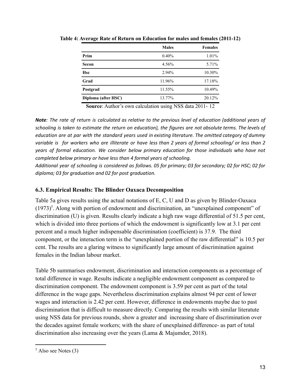|                     | <b>Males</b> | <b>Females</b> |
|---------------------|--------------|----------------|
| Prim                | 0.40%        | 1.01%          |
| Secon               | 4.56%        | 5.71%          |
| <b>Hsc</b>          | $2.94\%$     | 10.30%         |
| Grad                | 11.96%       | 17.18%         |
| Postgrad            | 11.55%       | 10.49%         |
| Diploma (after HSC) | 13.77%       | 20.12%         |

**Table 4: Average Rate of Return on Education for males and females (2011-12)**

**Source**: Author's own calculation using NSS data 2011- 12

*Note: The rate of return is calculated as relative to the previous level of education (additional years of schooling is taken to estimate the return on education), the figures are not absolute terms. The levels of education are at par with the standard years used in existing literature. The omitted category of dummy variable is for workers who are illiterate or have less than 2 years of formal schooling/ or less than 2 years of formal education. We consider below primary education for those individuals who have not completed below primary or have less than 4 formal years of schooling.*

*Additional year of schooling is considered as follows. 05 for primary; 03 for secondary; 02 for HSC; 02 for diploma; 03 for graduation and 02 for post graduation.*

## **6.3. Empirical Results: The Blinder Oaxaca Decomposition**

Table 5a gives results using the actual notations of E, C, U and D as given by Blinder-Oaxaca  $(1973)^5$ . Along with portion of endowment and discrimination, an "unexplained component" of discrimination (U) is given. Results clearly indicate a high raw wage differential of 51.5 per cent, which is divided into three portions of which the endowment is significantly low at 3.1 per cent percent and a much higher indispensable discrimination (coefficient) is 37.9. The third component, or the interaction term is the "unexplained portion of the raw differential" is 10.5 per cent. The results are a glaring witness to significantly large amount of discrimination against females in the Indian labour market.

Table 5b summarises endowment, discrimination and interaction components as a percentage of total difference in wage. Results indicate a negligible endowment component as compared to discrimination component. The endowment component is 3.59 per cent as part of the total difference in the wage gaps. Nevertheless discrimination explains almost 94 per cent of lower wages and interaction is 2.42 per cent. However, difference in endowments maybe due to past discrimination that is difficult to measure directly. Comparing the results with similar literatute using NSS data for previous rounds, show a greater and increasing share of discrimination over the decades against female workers; with the share of unexplained difference- as part of total discrimination also increasing over the years (Lama & Majumder, 2018).

 $<sup>5</sup>$  Also see Notes (3)</sup>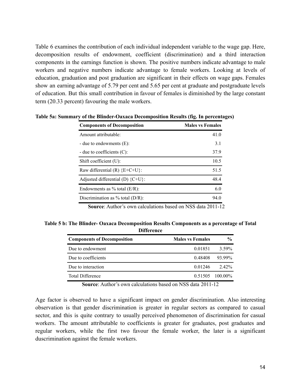Table 6 examines the contribution of each individual independent variable to the wage gap. Here, decomposition results of endowment, coefficient (discrimination) and a third interaction components in the earnings function is shown. The positive numbers indicate advantage to male workers and negative numbers indicate advantage to female workers. Looking at levels of education, graduation and post graduation are significant in their effects on wage gaps. Females show an earning advantage of 5.79 per cent and 5.65 per cent at graduate and postgraduate levels of education. But this small contribution in favour of females is diminished by the large constant term (20.33 percent) favouring the male workers.

| <b>Components of Decomposition</b>  | <b>Males vs Females</b> |
|-------------------------------------|-------------------------|
| Amount attributable:                | 41.0                    |
| - due to endowments $(E)$ :         | 3.1                     |
| - due to coefficients $(C)$ :       | 37.9                    |
| Shift coefficient $(U)$ :           | 10.5                    |
| Raw differential $(R)$ {E+C+U}:     | 51.5                    |
| Adjusted differential (D) ${C+U}$ : | 48.4                    |
| Endowments as $\%$ total (E/R):     | 6.0                     |
| Discrimination as $%$ total (D/R):  | 94.0                    |

**Table 5a: Summary of the Blinder-Oaxaca Decomposition Results (fig. In percentages)**

**Source:** Author's own calculations based on NSS data 2011-12.

| Table 5 b: The Blinder- Oaxaca Decomposition Results Components as a percentage of Total |  |
|------------------------------------------------------------------------------------------|--|
| <b>Difference</b>                                                                        |  |

| <b>Components of Decomposition</b> | <b>Males vs Females</b> | $\frac{0}{0}$     |
|------------------------------------|-------------------------|-------------------|
| Due to endowment                   | 0.01851                 | 3.59%             |
| Due to coefficients                | 0.48408                 | 93.99%            |
| Due to interaction                 | 0.01246                 | $2.42\%$          |
| <b>Total Difference</b>            |                         | $0.51505$ 100.00% |

**Source**: Author's own calculations based on NSS data 2011-12

Age factor is observed to have a significant impact on gender discrimination. Also interesting observation is that gender discrimination is greater in regular sectors as compared to casual sector, and this is quite contrary to usually perceived phenomenon of discrimination for casual workers. The amount attributable to coefficients is greater for graduates, post graduates and regular workers, while the first two favour the female worker, the later is a significant duscrimination against the female workers.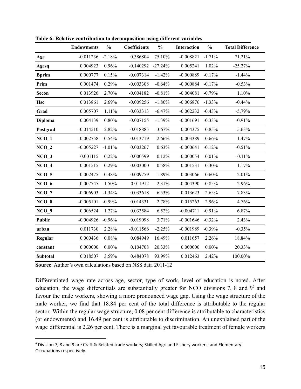|                  | <b>Endowments</b> | $\frac{0}{0}$ | <b>Coefficients</b> | $\frac{0}{0}$ | Interaction | $\frac{0}{0}$ | <b>Total Difference</b> |
|------------------|-------------------|---------------|---------------------|---------------|-------------|---------------|-------------------------|
| Age              | $-0.011236$       | $-2.18%$      | 0.386804            | 75.10%        | $-0.008821$ | $-1.71%$      | 71.21%                  |
| Agesq            | 0.004923          | 0.96%         | $-0.140292$         | $-27.24%$     | 0.005241    | 1.02%         | $-25.27%$               |
| <b>Bprim</b>     | 0.000777          | 0.15%         | $-0.007314$         | $-1.42%$      | $-0.000889$ | $-0.17%$      | $-1.44%$                |
| Prim             | 0.001474          | 0.29%         | $-0.003308$         | $-0.64%$      | $-0.000884$ | $-0.17%$      | $-0.53%$                |
| Secon            | 0.013926          | 2.70%         | $-0.004182$         | $-0.81%$      | $-0.004081$ | $-0.79%$      | 1.10%                   |
| <b>Hsc</b>       | 0.013861          | 2.69%         | $-0.009256$         | $-1.80%$      | $-0.006876$ | $-1.33%$      | $-0.44%$                |
| Grad             | 0.005707          | 1.11%         | $-0.033313$         | $-6.47%$      | $-0.002232$ | $-0.43%$      | $-5.79%$                |
| Diploma          | 0.004139          | 0.80%         | $-0.007155$         | $-1.39%$      | $-0.001691$ | $-0.33%$      | $-0.91%$                |
| Postgrad         | $-0.014510$       | $-2.82%$      | $-0.018885$         | $-3.67%$      | 0.004375    | 0.85%         | $-5.63%$                |
| $NCO_1$          | $-0.002758$       | $-0.54%$      | 0.013719            | 2.66%         | $-0.003389$ | $-0.66%$      | 1.47%                   |
| $NCO_2$          | $-0.005227$       | $-1.01%$      | 0.003267            | 0.63%         | $-0.000641$ | $-0.12%$      | $-0.51%$                |
| $NCO_3$          | $-0.001115$       | $-0.22%$      | 0.000599            | 0.12%         | $-0.000054$ | $-0.01%$      | $-0.11%$                |
| $NCO_4$          | 0.001515          | 0.29%         | 0.003000            | 0.58%         | 0.001531    | 0.30%         | 1.17%                   |
| NCO <sub>5</sub> | $-0.002475$       | $-0.48%$      | 0.009759            | 1.89%         | 0.003066    | 0.60%         | 2.01%                   |
| $NCO_6$          | 0.007745          | 1.50%         | 0.011912            | 2.31%         | $-0.004390$ | $-0.85%$      | 2.96%                   |
| $NCO_7$          | $-0.006903$       | $-1.34%$      | 0.033618            | 6.53%         | 0.013623    | 2.65%         | 7.83%                   |
| $NCO_8$          | $-0.005101$       | $-0.99%$      | 0.014331            | 2.78%         | 0.015263    | 2.96%         | 4.76%                   |
| $NCO_9$          | 0.006524          | 1.27%         | 0.033584            | 6.52%         | $-0.004711$ | $-0.91%$      | 6.87%                   |
| <b>Public</b>    | $-0.004926$       | $-0.96%$      | 0.019098            | 3.71%         | $-0.001646$ | $-0.32%$      | 2.43%                   |
| urban            | 0.011730          | 2.28%         | $-0.011566$         | $-2.25%$      | $-0.001989$ | $-0.39%$      | $-0.35%$                |
| Regular          | 0.000436          | 0.08%         | 0.084949            | 16.49%        | 0.011657    | 2.26%         | 18.84%                  |
| constant         | 0.000000          | $0.00\%$      | 0.104708            | 20.33%        | 0.000000    | $0.00\%$      | 20.33%                  |
| Subtotal         | 0.018507          | 3.59%         | 0.484078            | 93.99%        | 0.012463    | 2.42%         | 100.00%                 |

**Table 6: Relative contribution to decomposition using different variables**

**Source:** Author's own calculations based on NSS data 2011-12

Differentiated wage rate across age, sector, type of work, level of education is noted. After education, the wage differentials are substantially greater for NCO divisions 7, 8 and 9<sup>6</sup> and favour the male workers, showing a more pronounced wage gap. Using the wage structure of the male worker, we find that 18.84 per cent of the total difference is attributable to the regular sector. Within the regular wage structure, 0.08 per cent difference is attributable to characteristics (or endowments) and 16.49 per cent is attributable to discrimination. An unexplained part of the wage differential is 2.26 per cent. There is a marginal yet favourable treatment of female workers

<sup>&</sup>lt;sup>6</sup> Division 7, 8 and 9 are Craft & Related trade workers; Skilled Agri and Fishery workers; and Elementary Occupations respectively.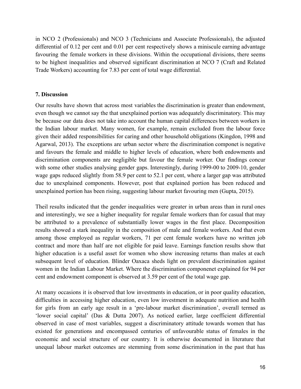in NCO 2 (Professionals) and NCO 3 (Technicians and Associate Professionals), the adjusted differential of 0.12 per cent and 0.01 per cent respectively shows a miniscule earning advantage favouring the female workers in these divisions. Within the occupational divisions, there seems to be highest inequalities and observed significant discrimination at NCO 7 (Craft and Related Trade Workers) accounting for 7.83 per cent of total wage differential.

## **7. Discussion**

Our results have shown that across most variables the discrimination is greater than endowment, even though we cannot say the that unexplained portion was adequately discriminatory. This may be because our data does not take into account the human capital differences between workers in the Indian labour market. Many women, for example, remain excluded from the labour force given their added responsibilities for caring and other household obligations (Kingdon, 1998 and Agarwal, 2013). The exceptions are urban sector where the discrimination componet is negative and favours the female and middle to higher levels of education, where both endowments and discrimination components are negligible but favour the female worker. Our findings concur with some other studies analysing gender gaps. Interestingly, during 1999-00 to 2009-10, gender wage gaps reduced slightly from 58.9 per cent to 52.1 per cent, where a larger gap was attributed due to unexplained components. However, post that explained portion has been reduced and unexplained portion has been rising, suggesting labour market favouring men (Gupta, 2015).

Theil results indicated that the gender inequalities were greater in urban areas than in rural ones and interestingly, we see a higher inequality for regular female workers than for casual that may be attributed to a prevalence of substantially lower wages in the first place. Decomposition results showed a stark inequality in the composition of male and female workers. And that even among those employed as regular workers, 71 per cent female workers have no written job contract and more than half are not eligible for paid leave. Earnings function results show that higher education is a useful asset for women who show increasing returns than males at each subsequent level of education. Blinder Oaxaca sheds light on prevalent discrimination against women in the Indian Labour Market. Where the discrimination componenet explained for 94 per cent and endowment component is observed at 3.59 per cent of the total wage gap.

At many occasions it is observed that low investments in education, or in poor quality education, difficulties in accessing higher education, even low investment in adequate nutrition and health for girls from an early age result in a 'pre-labour market discrimination', overall termed as 'lower social capital' (Das & Dutta 2007). As noticed earlier, large coefficient differential observed in case of most variables, suggest a discriminatory attitude towards women that has existed for generations and encompassed centuries of unfavourable status of females in the economic and social structure of our country. It is otherwise documented in literature that unequal labour market outcomes are stemming from some discrimination in the past that has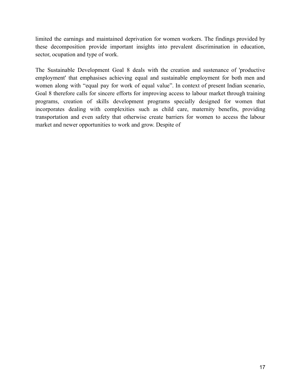limited the earnings and maintained deprivation for women workers. The findings provided by these decomposition provide important insights into prevalent discrimination in education, sector, ocupation and type of work.

The Sustainable Development Goal 8 deals with the creation and sustenance of 'productive employment' that emphasises achieving equal and sustainable employment for both men and women along with "equal pay for work of equal value". In context of present Indian scenario, Goal 8 therefore calls for sincere efforts for improving access to labour market through training programs, creation of skills development programs specially designed for women that incorporates dealing with complexities such as child care, maternity benefits, providing transportation and even safety that otherwise create barriers for women to access the labour market and newer opportunities to work and grow. Despite of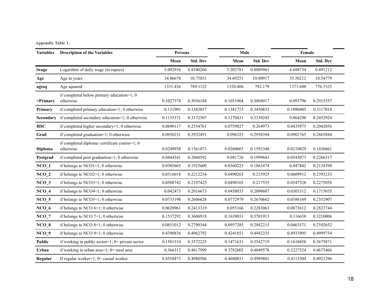| Appendix Table 1. |  |
|-------------------|--|
|-------------------|--|

| <b>Variables</b>                                                                                                                                                                                       | <b>Description of the Variables</b>                        | <b>Persons</b> |                 |           | Male            |           | Female          |
|--------------------------------------------------------------------------------------------------------------------------------------------------------------------------------------------------------|------------------------------------------------------------|----------------|-----------------|-----------|-----------------|-----------|-----------------|
|                                                                                                                                                                                                        |                                                            | Mean           | <b>Std. Dev</b> | Mean      | <b>Std. Dev</b> | Mean      | <b>Std. Dev</b> |
| lwage                                                                                                                                                                                                  | Logarithm of daily wage (in rupees)                        | 5.092916       | 0.8540266       | 5.203781  | 0.8089961       | 4.688734  | 0.891212        |
| Age                                                                                                                                                                                                    | Age in years                                               | 34.86678       | 10.75851        | 34.69251  | 10.80917        | 35.50212  | 10.54779        |
| agesq                                                                                                                                                                                                  | Age squared                                                | 1331.436       | 789.1122        | 1320.406  | 792.179         | 1371.648  | 776.5325        |
| <primary< td=""><td>if completed below primary education=1; 0<br/>otherwise</td><td>0.1027378</td><td>0.3036184</td><td>0.1051904</td><td>0.3068017</td><td>0.093796</td><td>0.2915557</td></primary<> | if completed below primary education=1; 0<br>otherwise     | 0.1027378      | 0.3036184       | 0.1051904 | 0.3068017       | 0.093796  | 0.2915557       |
| Primary                                                                                                                                                                                                | if completed primary education=1; 0 otherwise              | 0.131901       | 0.3383857       | 0.1381715 | 0.3450833       | 0.1090405 | 0.3117018       |
| Secondary                                                                                                                                                                                              | if completed secondary education=1; 0 otherwise            | 0.1135371      | 0.3172507       | 0.1270431 | 0.3330245       | 0.064298  | 0.2452924       |
| <b>HSC</b>                                                                                                                                                                                             | if completed higher secondary=1; 0 otherwise               | 0.0690117      | 0.2534761       | 0.0759827 | 0.264973        | 0.0435975 | 0.2042056       |
| Grad                                                                                                                                                                                                   | if completed graduation=1; 0 otherwise                     | 0.0950231      | 0.2932491       | 0.096325  | 0.2950394       | 0.0902765 | 0.2865884       |
| Diploma                                                                                                                                                                                                | if completed diploma/ certificate course=1; 0<br>otherwise | 0.0249938      | 0.1561073       | 0.0260665 | 0.1593348       | 0.0210829 | 0.1436661       |
| Postgrad                                                                                                                                                                                               | if completed post graduation=1; 0 otherwise                | 0.0444341      | 0.2060592       | 0.041726  | 0.1999643       | 0.0543073 | 0.2266317       |
| $NCO_1$                                                                                                                                                                                                | if belongs to $NCO1=1$ ; 0 otherwise                       | 0.0385665      | 0.1925609       | 0.0360223 | 0.1863474       | 0.047842  | 0.2134398       |
| $NCO_2$                                                                                                                                                                                                | if belongs to $NCO2=1$ ; 0 otherwise                       | 0.0516018      | 0.2212234       | 0.0490263 | 0.215925        | 0.0609912 | 0.2393233       |
| NCO <sub>3</sub>                                                                                                                                                                                       | if belongs to $NCO3=1$ ; 0 otherwise                       | 0.0508742      | 0.2197425       | 0.0498103 | 0.217555        | 0.0547528 | 0.2275058       |
| $NCO_4$                                                                                                                                                                                                | if belongs to $NCO4=1$ ; 0 otherwise                       | 0.042473       | 0.2016673       | 0.0458035 | 0.2090607       | 0.0303312 | 0.1715035       |
| $NCO_5$                                                                                                                                                                                                | if belongs to $NCO5=1$ ; 0 otherwise                       | 0.0733198      | 0.2606628       | 0.0772979 | 0.2670662       | 0.0588169 | 0.2352907       |
| $NCO_6$                                                                                                                                                                                                | if belongs to NCO $6=1$ ; 0 otherwise                      | 0.0620961      | 0.2413319       | 0.055166  | 0.2283063       | 0.0873612 | 0.2823744       |
| $NCO_7$                                                                                                                                                                                                | if belongs to NCO $7=1$ ; 0 otherwise                      | 0.1537292      | 0.3606918       | 0.1639031 | 0.3701913       | 0.116638  | 0.3210006       |
| $NCO_8$                                                                                                                                                                                                | if belongs to NCO $8=1$ ; 0 otherwise                      | 0.0851012      | 0.2790344       | 0.0957285 | 0.2942215       | 0.0463571 | 0.2102652       |
| $NCO_9$                                                                                                                                                                                                | if belongs to NCO $9=1$ ; 0 otherwise                      | 0.4390836      | 0.4962792       | 0.4241851 | 0.4942235       | 0.4933995 | 0.4999754       |
| Public                                                                                                                                                                                                 | if working in public sector=1; $0=$ private sector         | 0.1501514      | 0.3572225       | 0.1471631 | 0.3542719       | 0.1610458 | 0.3675871       |
| Urban                                                                                                                                                                                                  | if working in urban area=1; 0= rural area                  | 0.366312       | 0.4817999       | 0.3782602 | 0.4849578       | 0.3227524 | 0.4675466       |
| Regular                                                                                                                                                                                                | If regular worker=1; $0$ = casual worker                   | 0.4558473      | 0.4980506       | 0.4680031 | 0.4989801       | 0.4115304 | 0.4921296       |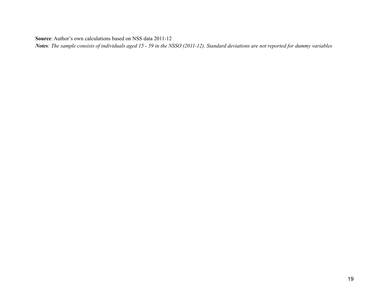**Source**: Author's own calculations based on NSS data 2011-12

*Notes: The sample consists of individuals aged 15 - 59 in the NSSO (2011-12). Standard deviations are not reported for dummy variables*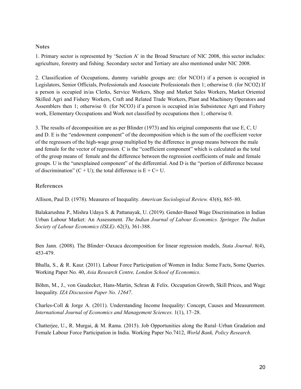#### **Notes**

1. Primary sector is represented by 'Section A' in the Broad Structure of NIC 2008, this sector includes: agriculture, forestry and fishing. Secondary sector and Tertiary are also mentioned under NIC 2008.

2. Classification of Occupations, dummy variable groups are: (for NCO1) if a person is occupied in Legislators, Senior Officials, Professionals and Associate Professionals then 1; otherwise 0. (for NCO2) If a person is occupied in/as Clerks, Service Workers, Shop and Market Sales Workers, Market Oriented Skilled Agri and Fishery Workers, Craft and Related Trade Workers, Plant and Machinery Operators and Assemblers then 1; otherwise 0. (for NCO3) if a person is occupied in/as Subsistence Agri and Fishery work, Elementary Occupations and Work not classified by occupations then 1; otherwise 0.

3. The results of decomposition are as per Blinder (1973) and his original components that use E, C, U and D. E is the "endowment component" of the decomposition which is the sum of the coefficient vector of the regressors of the high-wage group multiplied by the difference in group means between the male and female for the vector of regression. C is the "coefficient component" which is calculated as the total of the group means of female and the difference between the regression coefficients of male and female groups. U is the "unexplained component" of the differential. And D is the "portion of difference because of discrimination"  $(C + U)$ ; the total difference is  $E + C + U$ .

## **References**

Allison, Paul D. (1978). Measures of Inequality. *American Sociological Review.* 43(6), 865–80.

Balakarushna P., Mishra Udaya S. & Pattanayak, U. (2019). [Gender-Based Wage Discrimination in Indian](https://ideas.repec.org/a/spr/ijlaec/v62y2019i3d10.1007_s41027-019-00175-8.html) [Urban Labour Market: An Assessment](https://ideas.repec.org/a/spr/ijlaec/v62y2019i3d10.1007_s41027-019-00175-8.html). *[The Indian Journal of Labour Economics](https://ideas.repec.org/s/spr/ijlaec.html). Springer. The Indian Society of Labour Economics (ISLE)*. 62(3), 361-388.

Ben Jann. (2008). The Blinder–Oaxaca decomposition for linear regression models, *Stata Journal*. 8(4), 453-479.

Bhalla, S., & R. Kaur. (2011). Labour Force Participation of Women in India: Some Facts, Some Queries. Working Paper No. 40, *Asia Research Centre, London School of Economics*.

Böhm, M., J., von Gaudecker, Hans-Martin, Schran & Felix. Occupation Growth, Skill Prices, and Wage Inequality. *IZA Discussion Paper No. 12647*.

Charles-Coll & Jorge A. (2011). Understanding Income Inequality: Concept, Causes and Measurement. *International Journal of Economics and Management Sciences.* 1(1), 17–28.

Chatterjee, U., R. Murgai, & M. Rama. (2015). Job Opportunities along the Rural–Urban Gradation and Female Labour Force Participation in India. Working Paper No.7412, *World Bank, Policy Research*.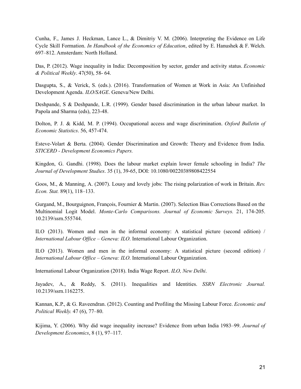Cunha, F., James J. Heckman, Lance L., & Dimitriy V. M. (2006). Interpreting the Evidence on Life Cycle Skill Formation. *In Handbook of the Economics of Education*, edited by E. Hanushek & F. Welch. 697–812. Amsterdam: North Holland.

Das, P. (2012). Wage inequality in India: Decomposition by sector, gender and activity status. *Economic & Political Weekly*. 47(50), 58- 64.

Dasgupta, S., & Verick, S. (eds.). (2016). Transformation of Women at Work in Asia: An Unfinished Development Agenda. *ILO/SAGE*. Geneva/New Delhi.

Deshpande, S & Deshpande, L.R. (1999). Gender based discrimination in the urban labour market. In Papola and Sharma (eds), 223-48.

Dolton, P. J. & Kidd, M. P. (1994). Occupational access and wage discrimination. *Oxford Bulletin of Economic Statistics*. 56, 457-474.

Esteve-Volart & Berta. (2004). Gender Discrimination and Growth: Theory and Evidence from India. *STICERD - Development Economics Papers.*

Kingdon, G. Gandhi. (1998). Does the labour market explain lower female schooling in India? *The Journal of Development Studies*. 35 (1), 39-65, DOI: 10.1080/00220389808422554

Goos, M., & Manning, A. (2007). Lousy and lovely jobs: The rising polarization of work in Britain. *Rev. Econ. Stat.* 89(1), 118–133.

Gurgand, M., Bourguignon, François, Fournier & Martin. (2007). Selection Bias Corrections Based on the Multinomial Logit Model. *Monte-Carlo Comparisons. Journal of Economic Surveys.* 21, 174-205. 10.2139/ssrn.555744.

ILO (2013). Women and men in the informal economy: A statistical picture (second edition) / *International Labour Office – Geneva: ILO*. International Labour Organization.

ILO (2013). Women and men in the informal economy: A statistical picture (second edition) / *International Labour Office – Geneva: ILO*. International Labour Organization.

International Labour Organization (2018). India Wage Report. *ILO, New Delhi*.

Jayadev, A., & Reddy, S. (2011). Inequalities and Identities. *SSRN Electronic Journal.* 10.2139/ssrn.1162275.

Kannan, K.P., & G. Raveendran. (2012). Counting and Profiling the Missing Labour Force. *Economic and Political Weekly.* 47 (6), 77–80.

Kijima, Y. (2006). Why did wage inequality increase? Evidence from urban India 1983–99. *Journal of Development Economics*, 8 (1), 97–117.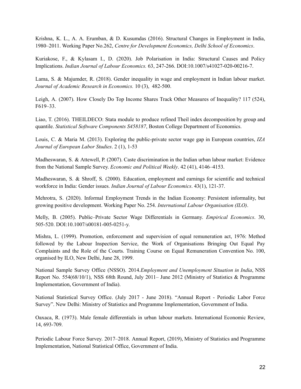Krishna, K. L., A. A. Erumban, & D. Kusumdas (2016). Structural Changes in Employment in India, 1980–2011. Working Paper No.262, *Centre for Development Economics, Delhi School of Economics*.

Kuriakose, F., & Kylasam I., D. (2020). Job Polarisation in India: Structural Causes and Policy Implications. *Indian Journal of Labour Economics.* 63, 247-266. DOI:10.1007/s41027-020-00216-7.

Lama, S. & Majumder, R. (2018). Gender inequality in wage and employment in Indian labour market. *Journal of Academic Research in Economics.* 10 (3), 482-500.

Leigh, A. (2007). How Closely Do Top Income Shares Track Other Measures of Inequality? 117 (524), F619–33.

Liao, T. (2016). THEILDECO: Stata module to produce refined Theil index decomposition by group and quantile. *Statistical Software Components S458187*, Boston College Department of Economics.

Louis, C. & Maria M. (2013). Exploring the public-private sector wage gap in European countries, *IZA Journal of European Labor Studies*. 2 (1), 1-53

Madheswaran, S. & Attewell, P. (2007). Caste discrimination in the Indian urban labour market: Evidence from the National Sample Survey. *Economic and Political Weekly*. 42 (41), 4146–4153.

Madheswaran, S. & Shroff, S. (2000). Education, employment and earnings for scientific and technical workforce in India: Gender issues. *Indian Journal of Labour Economics*. 43(1), 121-37.

Mehrotra, S. (2020). Informal Employment Trends in the Indian Economy: Persistent informality, but growing positive development. Working Paper No. 254. *International Labour Organisation (ILO)*.

Melly, B. (2005). Public–Private Sector Wage Differentials in Germany. *Empirical Economics*. 30, 505-520. DOI:10.1007/s00181-005-0251-y.

Mishra, L. (1999). Promotion, enforcement and supervision of equal remuneration act, 1976: Method followed by the Labour Inspection Service, the Work of Organisations Bringing Out Equal Pay Complaints and the Role of the Courts. Training Course on Equal Remuneration Convention No. 100, organised by ILO, New Delhi, June 28, 1999.

National Sample Survey Office (NSSO). 2014*.Employment and Unemployment Situation in India*, NSS Report No. 554(68/10/1), NSS 68th Round, July 2011– June 2012 (Ministry of Statistics & Programme Implementation, Government of India).

National Statistical Survey Office. (July 2017 - June 2018). "Annual Report - Periodic Labor Force Survey". New Delhi: Ministry of Statistics and Programme Implementation, Government of India.

Oaxaca, R. (1973). Male female differentials in urban labour markets. International Economic Review, 14, 693-709.

Periodic Labour Force Survey. 2017–2018. Annual Report, (2019), Ministry of Statistics and Programme Implementation, National Statistical Office, Government of India.